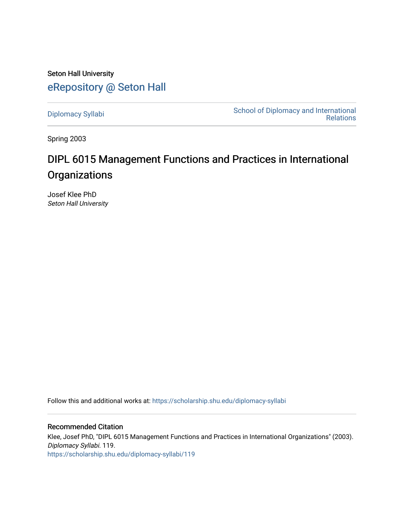Seton Hall University [eRepository @ Seton Hall](https://scholarship.shu.edu/)

[Diplomacy Syllabi](https://scholarship.shu.edu/diplomacy-syllabi) [School of Diplomacy and International](https://scholarship.shu.edu/diplomacy)  [Relations](https://scholarship.shu.edu/diplomacy) 

Spring 2003

# DIPL 6015 Management Functions and Practices in International **Organizations**

Josef Klee PhD Seton Hall University

Follow this and additional works at: [https://scholarship.shu.edu/diplomacy-syllabi](https://scholarship.shu.edu/diplomacy-syllabi?utm_source=scholarship.shu.edu%2Fdiplomacy-syllabi%2F119&utm_medium=PDF&utm_campaign=PDFCoverPages) 

Recommended Citation Klee, Josef PhD, "DIPL 6015 Management Functions and Practices in International Organizations" (2003). Diplomacy Syllabi. 119. [https://scholarship.shu.edu/diplomacy-syllabi/119](https://scholarship.shu.edu/diplomacy-syllabi/119?utm_source=scholarship.shu.edu%2Fdiplomacy-syllabi%2F119&utm_medium=PDF&utm_campaign=PDFCoverPages)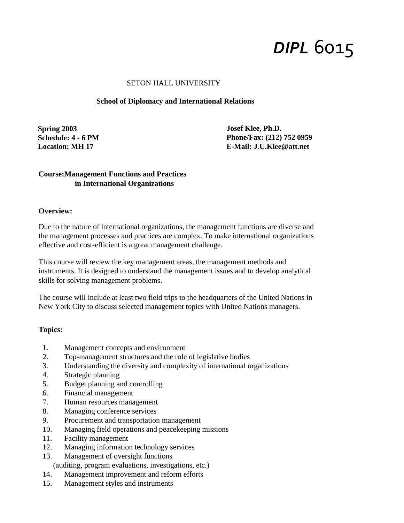# *DIPL* 6015

#### SETON HALL UNIVERSITY

#### **School of Diplomacy and International Relations**

**Spring 2003 Schedule: 4 - 6 PM Location: MH 17**

**Josef Klee, Ph.D. Phone/Fax: (212) 752 0959 E-Mail: [J.U.Klee@att.net](mailto:J.U.Klee@att.net)**

## **Course:Management Functions and Practices in International Organizations**

#### **Overview:**

Due to the nature of international organizations, the management functions are diverse and the management processes and practices are complex. To make international organizations effective and cost-efficient is a great management challenge.

This course will review the key management areas, the management methods and instruments. It is designed to understand the management issues and to develop analytical skills for solving management problems.

The course will include at least two field trips to the headquarters of the United Nations in New York City to discuss selected management topics with United Nations managers.

#### **Topics:**

- 1. Management concepts and environment
- 2. Top-management structures and the role of legislative bodies
- 3. Understanding the diversity and complexity of international organizations
- 4. Strategic planning
- 5. Budget planning and controlling
- 6. Financial management
- 7. Human resources management
- 8. Managing conference services
- 9. Procurement and transportation management
- 10. Managing field operations and peacekeeping missions
- 11. Facility management
- 12. Managing information technology services
- 13. Management of oversight functions
	- (auditing, program evaluations, investigations, etc.)
- 14. Management improvement and reform efforts
- 15. Management styles and instruments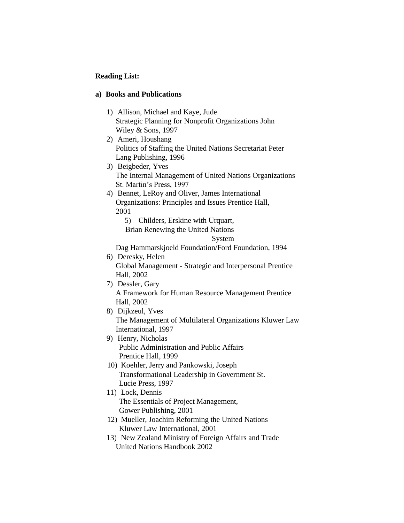### **Reading List:**

#### **a) Books and Publications**

- 1) Allison, Michael and Kaye, Jude Strategic Planning for Nonprofit Organizations John Wiley & Sons, 1997
- 2) Ameri, Houshang Politics of Staffing the United Nations Secretariat Peter Lang Publishing, 1996

3) Beigbeder, Yves The Internal Management of United Nations Organizations St. Martin's Press, 1997

4) Bennet, LeRoy and Oliver, James International Organizations: Principles and Issues Prentice Hall, 2001

5) Childers, Erskine with Urquart,

Brian Renewing the United Nations

System

Dag Hammarskjoeld Foundation/Ford Foundation, 1994

6) Deresky, Helen Global Management - Strategic and Interpersonal Prentice Hall, 2002

7) Dessler, Gary

A Framework for Human Resource Management Prentice Hall, 2002

- 8) Dijkzeul, Yves The Management of Multilateral Organizations Kluwer Law International, 1997
- 9) Henry, Nicholas Public Administration and Public Affairs Prentice Hall, 1999
- 10) Koehler, Jerry and Pankowski, Joseph Transformational Leadership in Government St. Lucie Press, 1997
- 11) Lock, Dennis The Essentials of Project Management, Gower Publishing, 2001
- 12) Mueller, Joachim Reforming the United Nations Kluwer Law International, 2001
- 13) New Zealand Ministry of Foreign Affairs and Trade United Nations Handbook 2002